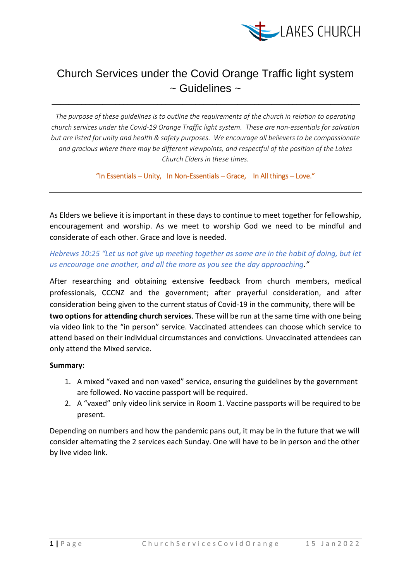

# Church Services under the Covid Orange Traffic light system ~ Guidelines ~

\_\_\_\_\_\_\_\_\_\_\_\_\_\_\_\_\_\_\_\_\_\_\_\_\_\_\_\_\_\_\_\_\_\_\_\_\_\_\_\_\_\_\_\_\_\_\_\_\_\_\_\_\_\_\_\_\_\_\_\_\_\_\_\_\_\_\_\_\_\_\_\_\_

*The purpose of these guidelines is to outline the requirements of the church in relation to operating church services under the Covid-19 Orange Traffic light system. These are non-essentials for salvation but are listed for unity and health & safety purposes. We encourage all believers to be compassionate and gracious where there may be different viewpoints, and respectful of the position of the Lakes Church Elders in these times.* 

"In Essentials – Unity, In Non-Essentials – Grace, In All things – Love."

As Elders we believe it is important in these days to continue to meet together for fellowship, encouragement and worship. As we meet to worship God we need to be mindful and considerate of each other. Grace and love is needed.

*Hebrews 10:25 "Let us not give up meeting together as some are in the habit of doing, but let us encourage one another, and all the more as you see the day approaching."*

After researching and obtaining extensive feedback from church members, medical professionals, CCCNZ and the government; after prayerful consideration, and after consideration being given to the current status of Covid-19 in the community, there will be **two options for attending church services**. These will be run at the same time with one being via video link to the "in person" service. Vaccinated attendees can choose which service to attend based on their individual circumstances and convictions. Unvaccinated attendees can only attend the Mixed service.

### **Summary:**

- 1. A mixed "vaxed and non vaxed" service, ensuring the guidelines by the government are followed. No vaccine passport will be required.
- 2. A "vaxed" only video link service in Room 1. Vaccine passports will be required to be present.

Depending on numbers and how the pandemic pans out, it may be in the future that we will consider alternating the 2 services each Sunday. One will have to be in person and the other by live video link.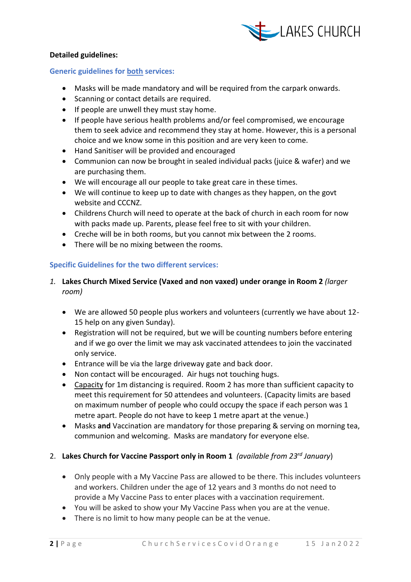

# **Detailed guidelines:**

## **Generic guidelines for both services:**

- Masks will be made mandatory and will be required from the carpark onwards.
- Scanning or contact details are required.
- If people are unwell they must stay home.
- If people have serious health problems and/or feel compromised, we encourage them to seek advice and recommend they stay at home. However, this is a personal choice and we know some in this position and are very keen to come.
- Hand Sanitiser will be provided and encouraged
- Communion can now be brought in sealed individual packs (juice & wafer) and we are purchasing them.
- We will encourage all our people to take great care in these times.
- We will continue to keep up to date with changes as they happen, on the govt website and CCCNZ.
- Childrens Church will need to operate at the back of church in each room for now with packs made up. Parents, please feel free to sit with your children.
- Creche will be in both rooms, but you cannot mix between the 2 rooms.
- There will be no mixing between the rooms.

# **Specific Guidelines for the two different services:**

- *1.* **Lakes Church Mixed Service (Vaxed and non vaxed) under orange in Room 2** *(larger room)*
	- We are allowed 50 people plus workers and volunteers (currently we have about 12- 15 help on any given Sunday).
	- Registration will not be required, but we will be counting numbers before entering and if we go over the limit we may ask vaccinated attendees to join the vaccinated only service.
	- Entrance will be via the large driveway gate and back door.
	- Non contact will be encouraged. Air hugs not touching hugs.
	- Capacity for 1m distancing is required. Room 2 has more than sufficient capacity to meet this requirement for 50 attendees and volunteers. (Capacity limits are based on maximum number of people who could occupy the space if each person was 1 metre apart. People do not have to keep 1 metre apart at the venue.)
	- Masks **and** Vaccination are mandatory for those preparing & serving on morning tea, communion and welcoming. Masks are mandatory for everyone else.

### 2. **Lakes Church for Vaccine Passport only in Room 1** *(available from 23rd January*)

- Only people with a My Vaccine Pass are allowed to be there. This includes volunteers and workers. Children under the age of 12 years and 3 months do not need to provide a My Vaccine Pass to enter places with a vaccination requirement.
- You will be asked to show your My Vaccine Pass when you are at the venue.
- There is no limit to how many people can be at the venue.